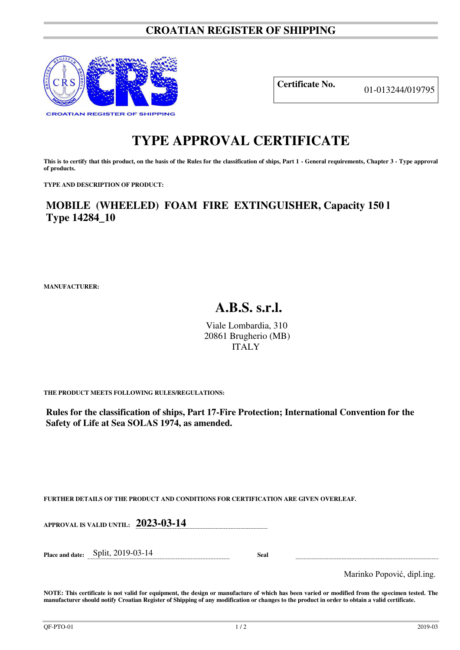## **CROATIAN REGISTER OF SHIPPING**



**Certificate No.** 01-013244/019795

## **TYPE APPROVAL CERTIFICATE**

This is to certify that this product, on the basis of the Rules for the classification of ships, Part 1 - General requirements, Chapter 3 - Type approval **of products.** 

**TYPE AND DESCRIPTION OF PRODUCT:** 

**MOBILE (WHEELED) FOAM FIRE EXTINGUISHER, Capacity 150 l Type 14284\_10**

**MANUFACTURER:**

## **A.B.S. s.r.l.**

Viale Lombardia, 310 20861 Brugherio (MB) ITALY

**THE PRODUCT MEETS FOLLOWING RULES/REGULATIONS:**

**Rules for the classification of ships, Part 17-Fire Protection; International Convention for the Safety of Life at Sea SOLAS 1974, as amended.**

**FURTHER DETAILS OF THE PRODUCT AND CONDITIONS FOR CERTIFICATION ARE GIVEN OVERLEAF.**

**APPROVAL IS VALID UNTIL: 2023-03-14** 

**Place and date:** Split, 2019-03-14 **Seal** 

Marinko Popović, dipl.ing.

**NOTE: This certificate is not valid for equipment, the design or manufacture of which has been varied or modified from the specimen tested. The manufacturer should notify Croatian Register of Shipping of any modification or changes to the product in order to obtain a valid certificate.**